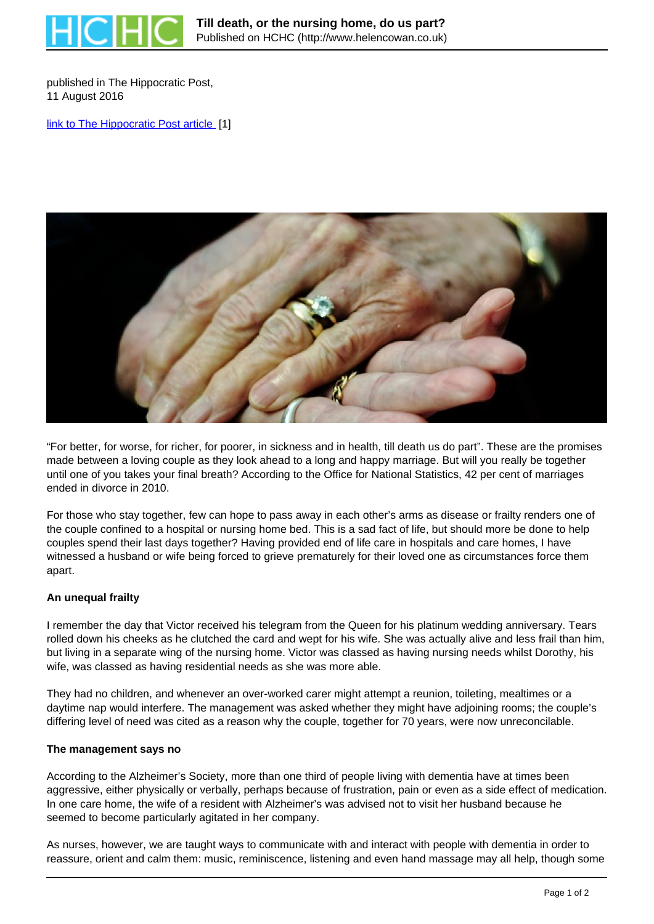

published in The Hippocratic Post, 11 August 2016

[link to The Hippocratic Post article](https://www.hippocraticpost.com/ageing/till-death-nursing-home-us-part/) [1]



"For better, for worse, for richer, for poorer, in sickness and in health, till death us do part". These are the promises made between a loving couple as they look ahead to a long and happy marriage. But will you really be together until one of you takes your final breath? According to the Office for National Statistics, 42 per cent of marriages ended in divorce in 2010.

For those who stay together, few can hope to pass away in each other's arms as disease or frailty renders one of the couple confined to a hospital or nursing home bed. This is a sad fact of life, but should more be done to help couples spend their last days together? Having provided end of life care in hospitals and care homes, I have witnessed a husband or wife being forced to grieve prematurely for their loved one as circumstances force them apart.

## **An unequal frailty**

I remember the day that Victor received his telegram from the Queen for his platinum wedding anniversary. Tears rolled down his cheeks as he clutched the card and wept for his wife. She was actually alive and less frail than him, but living in a separate wing of the nursing home. Victor was classed as having nursing needs whilst Dorothy, his wife, was classed as having residential needs as she was more able.

They had no children, and whenever an over-worked carer might attempt a reunion, toileting, mealtimes or a daytime nap would interfere. The management was asked whether they might have adjoining rooms; the couple's differing level of need was cited as a reason why the couple, together for 70 years, were now unreconcilable.

### **The management says no**

According to the Alzheimer's Society, more than one third of people living with dementia have at times been aggressive, either physically or verbally, perhaps because of frustration, pain or even as a side effect of medication. In one care home, the wife of a resident with Alzheimer's was advised not to visit her husband because he seemed to become particularly agitated in her company.

As nurses, however, we are taught ways to communicate with and interact with people with dementia in order to reassure, orient and calm them: music, reminiscence, listening and even hand massage may all help, though some